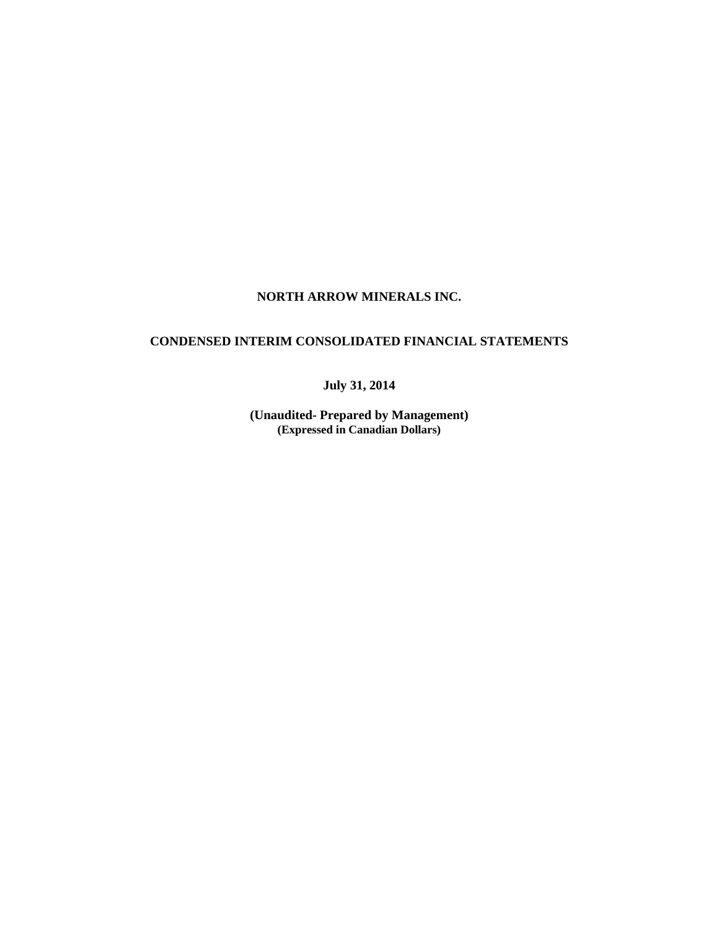# **NORTH ARROW MINERALS INC.**

# **CONDENSED INTERIM CONSOLIDATED FINANCIAL STATEMENTS**

**July 31, 2014** 

**(Unaudited- Prepared by Management) (Expressed in Canadian Dollars)**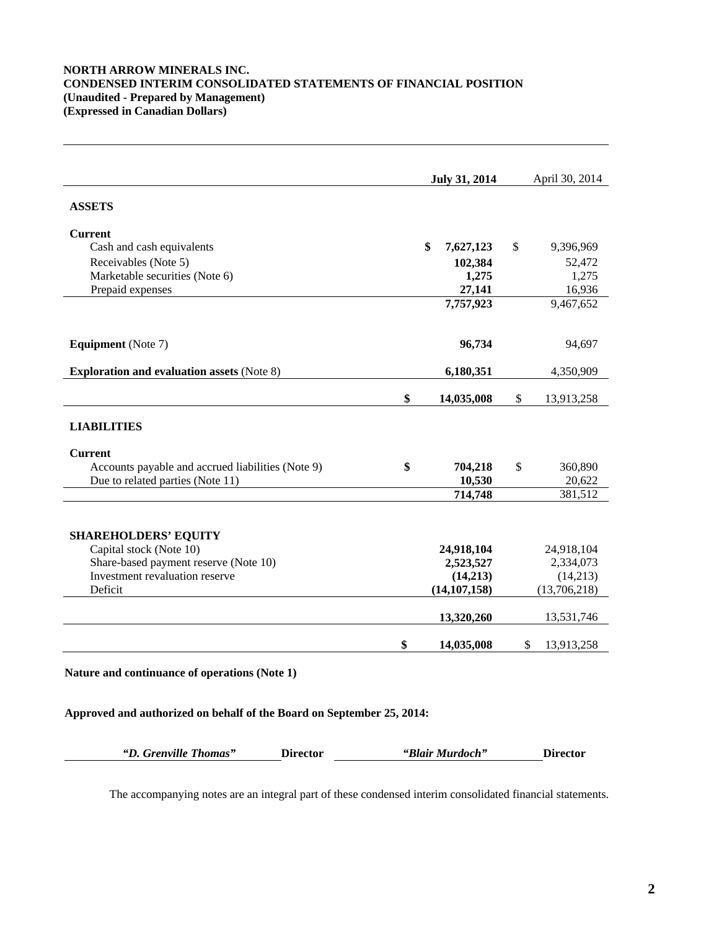## **NORTH ARROW MINERALS INC. CONDENSED INTERIM CONSOLIDATED STATEMENTS OF FINANCIAL POSITION (Unaudited - Prepared by Management) (Expressed in Canadian Dollars)**

|                                                   | July 31, 2014    | April 30, 2014   |
|---------------------------------------------------|------------------|------------------|
| <b>ASSETS</b>                                     |                  |                  |
| <b>Current</b>                                    |                  |                  |
| Cash and cash equivalents                         | \$<br>7,627,123  | \$<br>9,396,969  |
| Receivables (Note 5)                              | 102,384          | 52,472           |
| Marketable securities (Note 6)                    | 1,275            | 1,275            |
| Prepaid expenses                                  | 27,141           | 16,936           |
|                                                   | 7,757,923        | 9,467,652        |
| <b>Equipment</b> (Note 7)                         | 96,734           | 94,697           |
| <b>Exploration and evaluation assets (Note 8)</b> | 6,180,351        | 4,350,909        |
|                                                   | \$<br>14,035,008 | \$<br>13,913,258 |
| <b>LIABILITIES</b>                                |                  |                  |
| <b>Current</b>                                    |                  |                  |
| Accounts payable and accrued liabilities (Note 9) | \$<br>704,218    | \$<br>360,890    |
| Due to related parties (Note 11)                  | 10,530           | 20,622           |
|                                                   | 714,748          | 381,512          |
| <b>SHAREHOLDERS' EQUITY</b>                       |                  |                  |
| Capital stock (Note 10)                           | 24,918,104       | 24,918,104       |
| Share-based payment reserve (Note 10)             | 2,523,527        | 2,334,073        |
| Investment revaluation reserve                    | (14,213)         | (14,213)         |
| Deficit                                           | (14, 107, 158)   | (13,706,218)     |
|                                                   | 13,320,260       | 13,531,746       |
|                                                   | \$<br>14,035,008 | \$<br>13,913,258 |

**Approved and authorized on behalf of the Board on September 25, 2014:**

| "D. Grenville Thomas"<br><b>Director</b> | "Blair Murdoch" | <b>Director</b> |
|------------------------------------------|-----------------|-----------------|
|------------------------------------------|-----------------|-----------------|

The accompanying notes are an integral part of these condensed interim consolidated financial statements.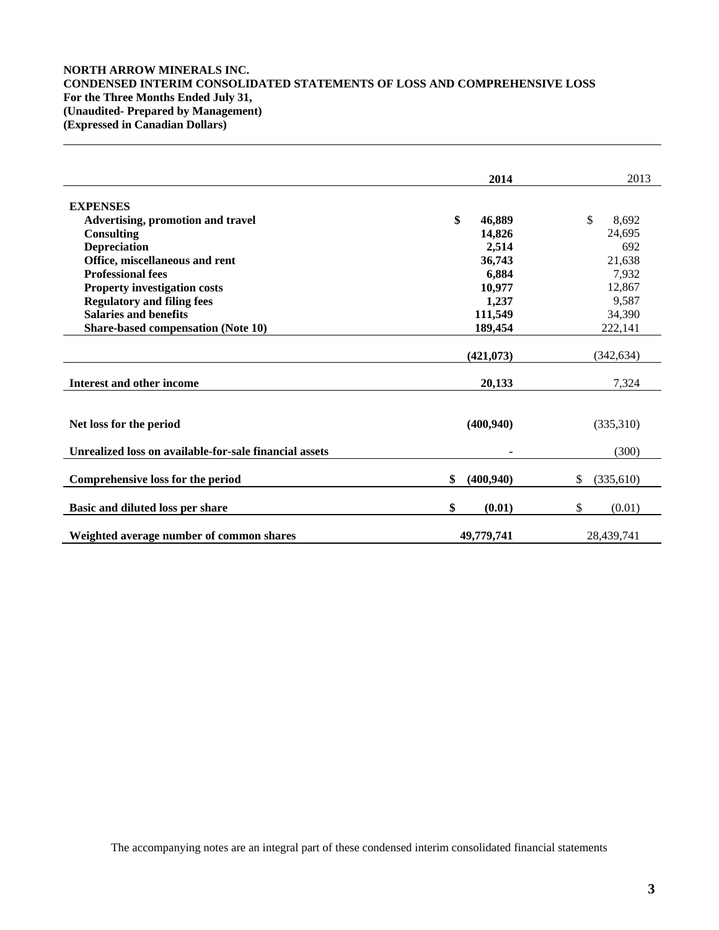# **NORTH ARROW MINERALS INC. CONDENSED INTERIM CONSOLIDATED STATEMENTS OF LOSS AND COMPREHENSIVE LOSS For the Three Months Ended July 31, (Unaudited- Prepared by Management) (Expressed in Canadian Dollars)**

|                                                        | 2014             | 2013            |
|--------------------------------------------------------|------------------|-----------------|
| <b>EXPENSES</b>                                        |                  |                 |
| <b>Advertising, promotion and travel</b>               | \$<br>46,889     | \$<br>8,692     |
| <b>Consulting</b>                                      | 14,826           | 24,695          |
| <b>Depreciation</b>                                    | 2,514            | 692             |
| Office, miscellaneous and rent                         | 36,743           | 21,638          |
| <b>Professional fees</b>                               | 6,884            | 7,932           |
| <b>Property investigation costs</b>                    | 10,977           | 12,867          |
| <b>Regulatory and filing fees</b>                      | 1,237            | 9,587           |
| <b>Salaries and benefits</b>                           | 111,549          | 34,390          |
| <b>Share-based compensation (Note 10)</b>              | 189,454          | 222,141         |
|                                                        |                  |                 |
|                                                        | (421, 073)       | (342, 634)      |
| Interest and other income                              | 20,133           | 7,324           |
|                                                        |                  |                 |
| Net loss for the period                                | (400, 940)       | (335,310)       |
| Unrealized loss on available-for-sale financial assets |                  | (300)           |
| Comprehensive loss for the period                      | \$<br>(400, 940) | \$<br>(335,610) |
| Basic and diluted loss per share                       | \$<br>(0.01)     | \$<br>(0.01)    |
| Weighted average number of common shares               | 49,779,741       | 28,439,741      |

The accompanying notes are an integral part of these condensed interim consolidated financial statements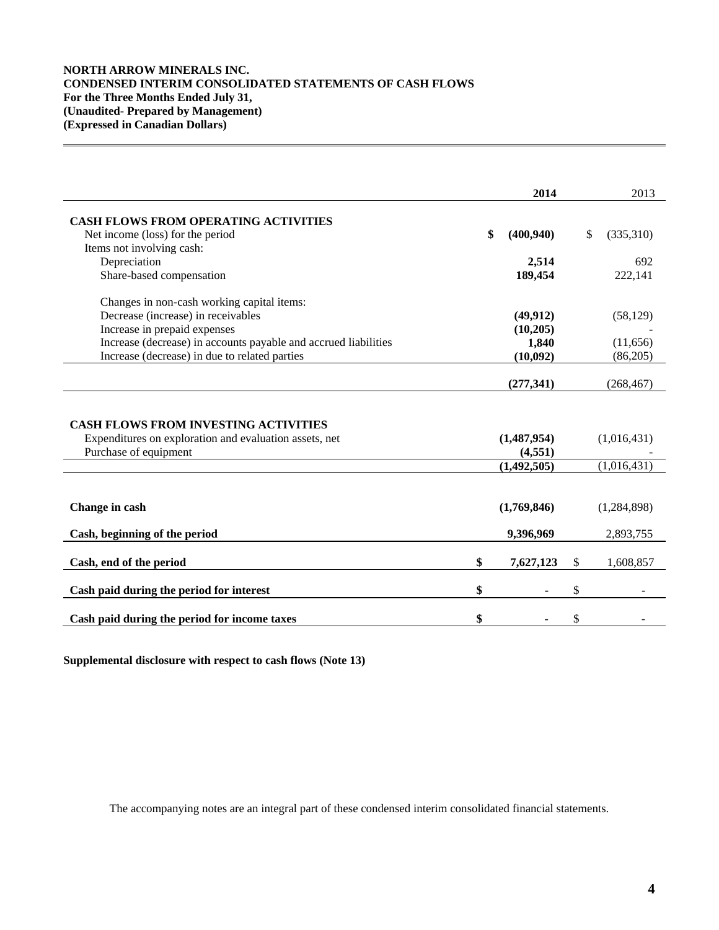# **NORTH ARROW MINERALS INC. CONDENSED INTERIM CONSOLIDATED STATEMENTS OF CASH FLOWS For the Three Months Ended July 31, (Unaudited- Prepared by Management) (Expressed in Canadian Dollars)**

|                                                                                                                                | 2014                   | 2013            |
|--------------------------------------------------------------------------------------------------------------------------------|------------------------|-----------------|
|                                                                                                                                |                        |                 |
| CASH FLOWS FROM OPERATING ACTIVITIES                                                                                           |                        |                 |
| Net income (loss) for the period                                                                                               | \$<br>(400, 940)       | \$<br>(335,310) |
| Items not involving cash:                                                                                                      |                        |                 |
| Depreciation                                                                                                                   | 2,514                  | 692             |
| Share-based compensation                                                                                                       | 189,454                | 222,141         |
| Changes in non-cash working capital items:                                                                                     |                        |                 |
| Decrease (increase) in receivables                                                                                             | (49, 912)              | (58, 129)       |
| Increase in prepaid expenses                                                                                                   | (10,205)               |                 |
| Increase (decrease) in accounts payable and accrued liabilities                                                                | 1,840                  | (11, 656)       |
| Increase (decrease) in due to related parties                                                                                  | (10,092)               | (86,205)        |
|                                                                                                                                |                        |                 |
|                                                                                                                                | (277, 341)             | (268, 467)      |
| <b>CASH FLOWS FROM INVESTING ACTIVITIES</b><br>Expenditures on exploration and evaluation assets, net<br>Purchase of equipment | (1,487,954)<br>(4,551) | (1,016,431)     |
|                                                                                                                                | (1,492,505)            | (1,016,431)     |
|                                                                                                                                |                        |                 |
| Change in cash                                                                                                                 | (1,769,846)            | (1,284,898)     |
| Cash, beginning of the period                                                                                                  | 9,396,969              | 2,893,755       |
| Cash, end of the period                                                                                                        | \$<br>7,627,123        | \$<br>1,608,857 |
|                                                                                                                                |                        |                 |
| Cash paid during the period for interest                                                                                       | \$                     | \$              |
| Cash paid during the period for income taxes                                                                                   | \$                     | \$              |

**Supplemental disclosure with respect to cash flows (Note 13)**

The accompanying notes are an integral part of these condensed interim consolidated financial statements.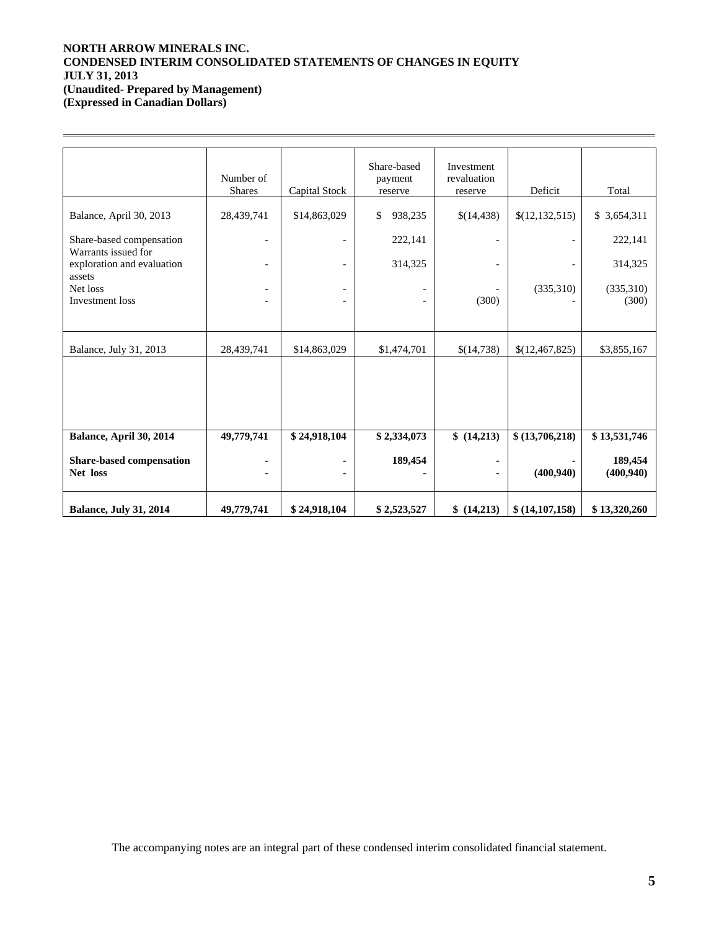# **NORTH ARROW MINERALS INC. CONDENSED INTERIM CONSOLIDATED STATEMENTS OF CHANGES IN EQUITY JULY 31, 2013 (Unaudited- Prepared by Management) (Expressed in Canadian Dollars)**

 $\overline{a}$ 

|                                                 | Number of<br><b>Shares</b> | Capital Stock            | Share-based<br>payment<br>reserve | Investment<br>revaluation<br>reserve | Deficit          | Total        |
|-------------------------------------------------|----------------------------|--------------------------|-----------------------------------|--------------------------------------|------------------|--------------|
|                                                 |                            |                          |                                   |                                      |                  |              |
| Balance, April 30, 2013                         | 28,439,741                 | \$14,863,029             | \$<br>938,235                     | \$(14,438)                           | \$(12, 132, 515) | \$ 3,654,311 |
| Share-based compensation<br>Warrants issued for |                            |                          | 222,141                           |                                      |                  | 222,141      |
| exploration and evaluation                      |                            | $\overline{\phantom{a}}$ | 314,325                           |                                      |                  | 314,325      |
| assets<br>Net loss                              | $\overline{\phantom{0}}$   | $\overline{\phantom{a}}$ |                                   |                                      | (335,310)        | (335,310)    |
| Investment loss                                 |                            |                          |                                   | (300)                                |                  | (300)        |
|                                                 |                            |                          |                                   |                                      |                  |              |
| Balance, July 31, 2013                          | 28,439,741                 | \$14,863,029             | \$1,474,701                       | \$(14,738)                           | \$(12,467,825)   | \$3,855,167  |
|                                                 |                            |                          |                                   |                                      |                  |              |
|                                                 |                            |                          |                                   |                                      |                  |              |
|                                                 |                            |                          |                                   |                                      |                  |              |
|                                                 |                            |                          |                                   |                                      |                  |              |
| Balance, April 30, 2014                         | 49,779,741                 | \$24,918,104             | \$2,334,073                       | \$(14,213)                           | \$(13,706,218)   | \$13,531,746 |
| Share-based compensation                        |                            |                          | 189,454                           |                                      |                  | 189,454      |
| Net loss                                        |                            |                          |                                   |                                      | (400, 940)       | (400, 940)   |
|                                                 |                            |                          |                                   |                                      |                  |              |
| <b>Balance, July 31, 2014</b>                   | 49,779,741                 | \$24,918,104             | \$2,523,527                       | \$(14,213)                           | \$(14,107,158)   | \$13,320,260 |

The accompanying notes are an integral part of these condensed interim consolidated financial statement.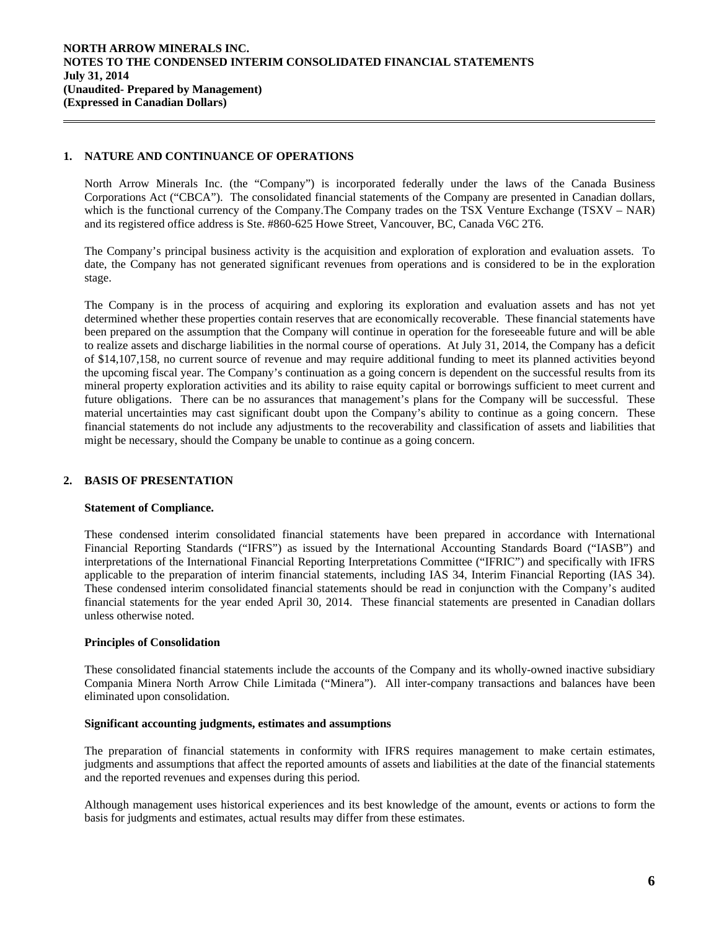## **1. NATURE AND CONTINUANCE OF OPERATIONS**

 $\overline{a}$ 

North Arrow Minerals Inc. (the "Company") is incorporated federally under the laws of the Canada Business Corporations Act ("CBCA"). The consolidated financial statements of the Company are presented in Canadian dollars, which is the functional currency of the Company. The Company trades on the TSX Venture Exchange (TSXV – NAR) and its registered office address is Ste. #860-625 Howe Street, Vancouver, BC, Canada V6C 2T6.

 The Company's principal business activity is the acquisition and exploration of exploration and evaluation assets. To date, the Company has not generated significant revenues from operations and is considered to be in the exploration stage.

The Company is in the process of acquiring and exploring its exploration and evaluation assets and has not yet determined whether these properties contain reserves that are economically recoverable. These financial statements have been prepared on the assumption that the Company will continue in operation for the foreseeable future and will be able to realize assets and discharge liabilities in the normal course of operations. At July 31, 2014, the Company has a deficit of \$14,107,158, no current source of revenue and may require additional funding to meet its planned activities beyond the upcoming fiscal year. The Company's continuation as a going concern is dependent on the successful results from its mineral property exploration activities and its ability to raise equity capital or borrowings sufficient to meet current and future obligations. There can be no assurances that management's plans for the Company will be successful. These material uncertainties may cast significant doubt upon the Company's ability to continue as a going concern. These financial statements do not include any adjustments to the recoverability and classification of assets and liabilities that might be necessary, should the Company be unable to continue as a going concern.

# **2. BASIS OF PRESENTATION**

### **Statement of Compliance.**

These condensed interim consolidated financial statements have been prepared in accordance with International Financial Reporting Standards ("IFRS") as issued by the International Accounting Standards Board ("IASB") and interpretations of the International Financial Reporting Interpretations Committee ("IFRIC") and specifically with IFRS applicable to the preparation of interim financial statements, including IAS 34, Interim Financial Reporting (IAS 34). These condensed interim consolidated financial statements should be read in conjunction with the Company's audited financial statements for the year ended April 30, 2014. These financial statements are presented in Canadian dollars unless otherwise noted.

### **Principles of Consolidation**

These consolidated financial statements include the accounts of the Company and its wholly-owned inactive subsidiary Compania Minera North Arrow Chile Limitada ("Minera"). All inter-company transactions and balances have been eliminated upon consolidation.

## **Significant accounting judgments, estimates and assumptions**

The preparation of financial statements in conformity with IFRS requires management to make certain estimates, judgments and assumptions that affect the reported amounts of assets and liabilities at the date of the financial statements and the reported revenues and expenses during this period.

Although management uses historical experiences and its best knowledge of the amount, events or actions to form the basis for judgments and estimates, actual results may differ from these estimates.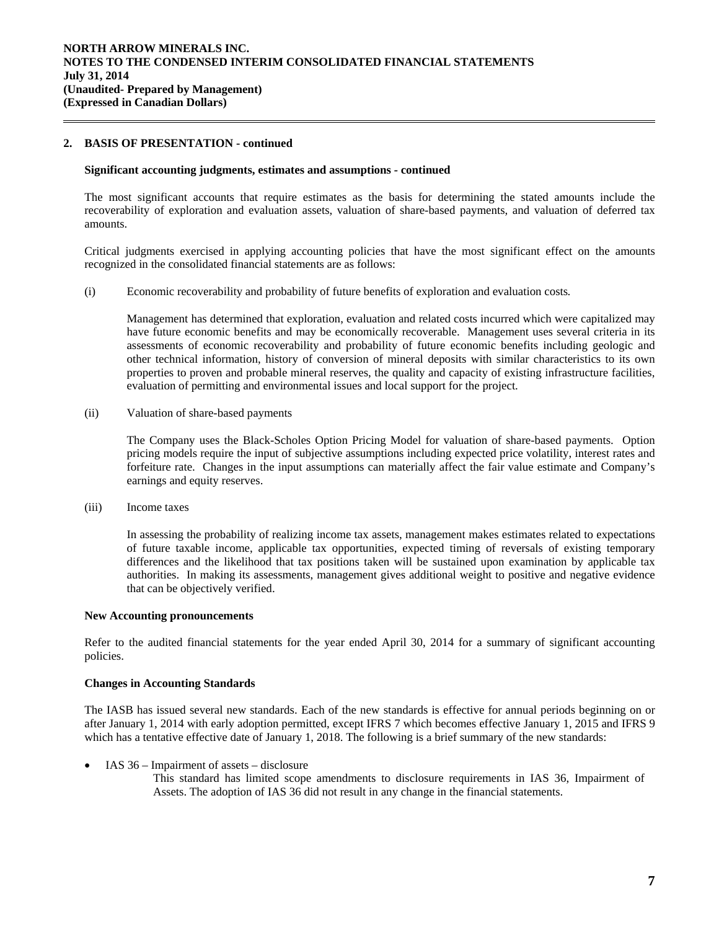## **2. BASIS OF PRESENTATION - continued**

 $\overline{a}$ 

#### **Significant accounting judgments, estimates and assumptions** *-* **continued**

The most significant accounts that require estimates as the basis for determining the stated amounts include the recoverability of exploration and evaluation assets, valuation of share-based payments, and valuation of deferred tax amounts.

Critical judgments exercised in applying accounting policies that have the most significant effect on the amounts recognized in the consolidated financial statements are as follows:

(i) Economic recoverability and probability of future benefits of exploration and evaluation costs*.* 

 Management has determined that exploration, evaluation and related costs incurred which were capitalized may have future economic benefits and may be economically recoverable. Management uses several criteria in its assessments of economic recoverability and probability of future economic benefits including geologic and other technical information, history of conversion of mineral deposits with similar characteristics to its own properties to proven and probable mineral reserves, the quality and capacity of existing infrastructure facilities, evaluation of permitting and environmental issues and local support for the project.

(ii) Valuation of share-based payments

The Company uses the Black-Scholes Option Pricing Model for valuation of share-based payments. Option pricing models require the input of subjective assumptions including expected price volatility, interest rates and forfeiture rate. Changes in the input assumptions can materially affect the fair value estimate and Company's earnings and equity reserves.

(iii) Income taxes

In assessing the probability of realizing income tax assets, management makes estimates related to expectations of future taxable income, applicable tax opportunities, expected timing of reversals of existing temporary differences and the likelihood that tax positions taken will be sustained upon examination by applicable tax authorities. In making its assessments, management gives additional weight to positive and negative evidence that can be objectively verified.

### **New Accounting pronouncements**

Refer to the audited financial statements for the year ended April 30, 2014 for a summary of significant accounting policies.

### **Changes in Accounting Standards**

The IASB has issued several new standards. Each of the new standards is effective for annual periods beginning on or after January 1, 2014 with early adoption permitted, except IFRS 7 which becomes effective January 1, 2015 and IFRS 9 which has a tentative effective date of January 1, 2018. The following is a brief summary of the new standards:

- IAS 36 Impairment of assets disclosure
	- This standard has limited scope amendments to disclosure requirements in IAS 36, Impairment of Assets. The adoption of IAS 36 did not result in any change in the financial statements.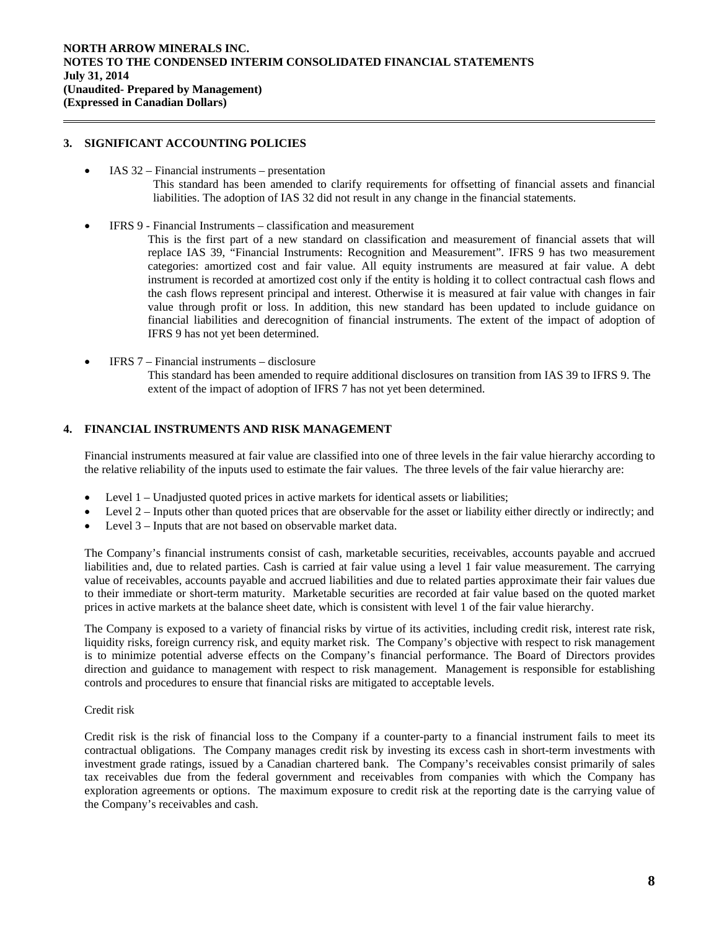### **3. SIGNIFICANT ACCOUNTING POLICIES**

 $\overline{a}$ 

- IAS 32 Financial instruments presentation This standard has been amended to clarify requirements for offsetting of financial assets and financial liabilities. The adoption of IAS 32 did not result in any change in the financial statements.
- IFRS 9 Financial Instruments classification and measurement
	- This is the first part of a new standard on classification and measurement of financial assets that will replace IAS 39, "Financial Instruments: Recognition and Measurement". IFRS 9 has two measurement categories: amortized cost and fair value. All equity instruments are measured at fair value. A debt instrument is recorded at amortized cost only if the entity is holding it to collect contractual cash flows and the cash flows represent principal and interest. Otherwise it is measured at fair value with changes in fair value through profit or loss. In addition, this new standard has been updated to include guidance on financial liabilities and derecognition of financial instruments. The extent of the impact of adoption of IFRS 9 has not yet been determined.
- IFRS 7 Financial instruments disclosure This standard has been amended to require additional disclosures on transition from IAS 39 to IFRS 9. The extent of the impact of adoption of IFRS 7 has not yet been determined.

# **4. FINANCIAL INSTRUMENTS AND RISK MANAGEMENT**

Financial instruments measured at fair value are classified into one of three levels in the fair value hierarchy according to the relative reliability of the inputs used to estimate the fair values. The three levels of the fair value hierarchy are:

- Level 1 Unadjusted quoted prices in active markets for identical assets or liabilities;
- Level 2 Inputs other than quoted prices that are observable for the asset or liability either directly or indirectly; and
- Level 3 Inputs that are not based on observable market data.

The Company's financial instruments consist of cash, marketable securities, receivables, accounts payable and accrued liabilities and, due to related parties. Cash is carried at fair value using a level 1 fair value measurement. The carrying value of receivables, accounts payable and accrued liabilities and due to related parties approximate their fair values due to their immediate or short-term maturity. Marketable securities are recorded at fair value based on the quoted market prices in active markets at the balance sheet date, which is consistent with level 1 of the fair value hierarchy.

The Company is exposed to a variety of financial risks by virtue of its activities, including credit risk, interest rate risk, liquidity risks, foreign currency risk, and equity market risk. The Company's objective with respect to risk management is to minimize potential adverse effects on the Company's financial performance. The Board of Directors provides direction and guidance to management with respect to risk management. Management is responsible for establishing controls and procedures to ensure that financial risks are mitigated to acceptable levels.

### Credit risk

Credit risk is the risk of financial loss to the Company if a counter-party to a financial instrument fails to meet its contractual obligations. The Company manages credit risk by investing its excess cash in short-term investments with investment grade ratings, issued by a Canadian chartered bank. The Company's receivables consist primarily of sales tax receivables due from the federal government and receivables from companies with which the Company has exploration agreements or options. The maximum exposure to credit risk at the reporting date is the carrying value of the Company's receivables and cash.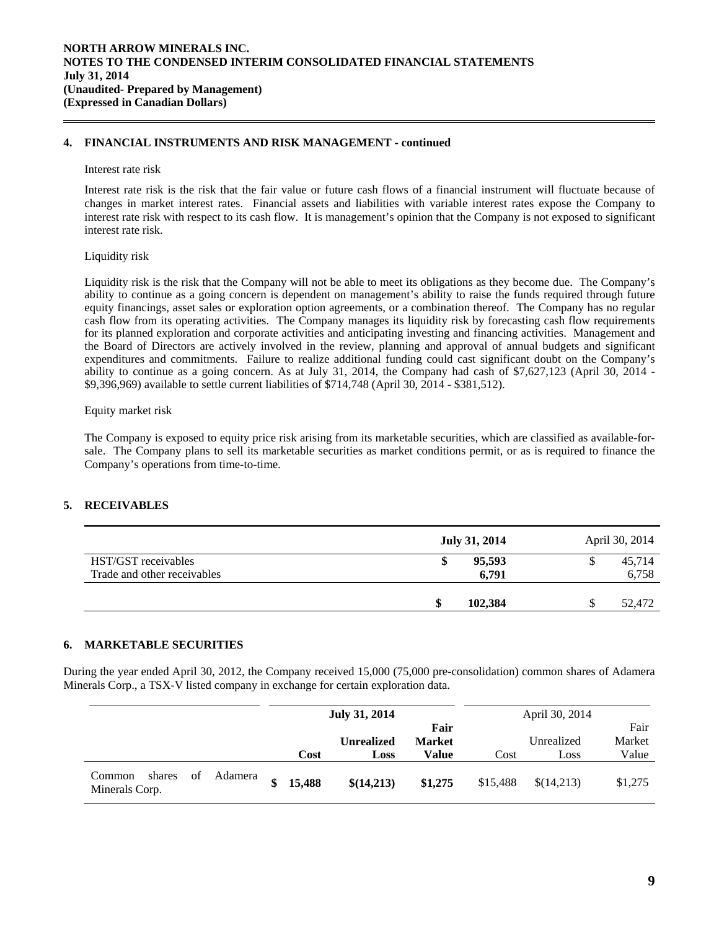### **4. FINANCIAL INSTRUMENTS AND RISK MANAGEMENT - continued**

#### Interest rate risk

 $\overline{a}$ 

Interest rate risk is the risk that the fair value or future cash flows of a financial instrument will fluctuate because of changes in market interest rates. Financial assets and liabilities with variable interest rates expose the Company to interest rate risk with respect to its cash flow. It is management's opinion that the Company is not exposed to significant interest rate risk.

### Liquidity risk

Liquidity risk is the risk that the Company will not be able to meet its obligations as they become due. The Company's ability to continue as a going concern is dependent on management's ability to raise the funds required through future equity financings, asset sales or exploration option agreements, or a combination thereof. The Company has no regular cash flow from its operating activities. The Company manages its liquidity risk by forecasting cash flow requirements for its planned exploration and corporate activities and anticipating investing and financing activities. Management and the Board of Directors are actively involved in the review, planning and approval of annual budgets and significant expenditures and commitments. Failure to realize additional funding could cast significant doubt on the Company's ability to continue as a going concern. As at July 31, 2014, the Company had cash of \$7,627,123 (April 30, 2014 - \$9,396,969) available to settle current liabilities of \$714,748 (April 30, 2014 - \$381,512).

### Equity market risk

The Company is exposed to equity price risk arising from its marketable securities, which are classified as available-forsale. The Company plans to sell its marketable securities as market conditions permit, or as is required to finance the Company's operations from time-to-time.

# **5. RECEIVABLES**

|                                                    | <b>July 31, 2014</b> | April 30, 2014  |
|----------------------------------------------------|----------------------|-----------------|
| HST/GST receivables<br>Trade and other receivables | 95,593<br>6,791      | 45,714<br>6,758 |
|                                                    | 102,384<br>\$        | 52,472          |

# **6. MARKETABLE SECURITIES**

During the year ended April 30, 2012, the Company received 15,000 (75,000 pre-consolidation) common shares of Adamera Minerals Corp., a TSX-V listed company in exchange for certain exploration data.

|                                                     |         |                         | <b>July 31, 2014</b>      |                                |          | April 30, 2014     |                         |
|-----------------------------------------------------|---------|-------------------------|---------------------------|--------------------------------|----------|--------------------|-------------------------|
|                                                     |         | Cost                    | <b>Unrealized</b><br>Loss | Fair<br><b>Market</b><br>Value | Cost     | Unrealized<br>Loss | Fair<br>Market<br>Value |
| <sub>of</sub><br>shares<br>Common<br>Minerals Corp. | Adamera | $\mathbf{\$}$<br>15,488 | \$(14,213)                | \$1,275                        | \$15,488 | \$(14,213)         | \$1,275                 |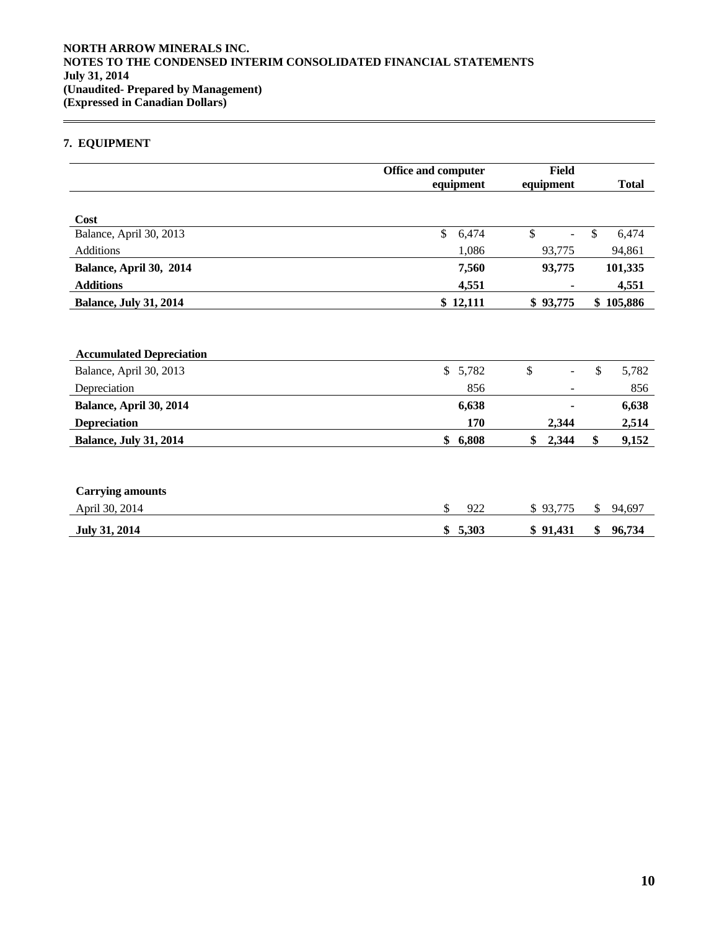# **7. EQUIPMENT**

 $\overline{a}$ 

|                                 | <b>Office and computer</b><br>equipment | <b>Field</b><br>equipment | <b>Total</b>  |
|---------------------------------|-----------------------------------------|---------------------------|---------------|
| Cost                            |                                         |                           |               |
| Balance, April 30, 2013         | \$<br>6,474                             | \$<br>÷,                  | \$<br>6,474   |
| Additions                       | 1,086                                   | 93,775                    | 94,861        |
| Balance, April 30, 2014         | 7,560                                   | 93,775                    | 101,335       |
| <b>Additions</b>                | 4,551                                   |                           | 4,551         |
| <b>Balance, July 31, 2014</b>   | \$12,111                                | \$93,775                  | \$<br>105,886 |
|                                 |                                         |                           |               |
| <b>Accumulated Depreciation</b> |                                         |                           |               |
| Balance, April 30, 2013         | \$<br>5,782                             | \$                        | \$<br>5,782   |
| Depreciation                    | 856                                     |                           | 856           |
| Balance, April 30, 2014         | 6,638                                   |                           | 6,638         |
| <b>Depreciation</b>             | 170                                     | 2,344                     | 2,514         |
| <b>Balance, July 31, 2014</b>   | 6,808<br>\$                             | \$<br>2,344               | \$<br>9,152   |
|                                 |                                         |                           |               |
|                                 |                                         |                           |               |
| <b>Carrying amounts</b>         |                                         |                           |               |
| April 30, 2014                  | \$<br>922                               | \$93,775                  | \$<br>94,697  |
| <b>July 31, 2014</b>            | \$<br>5,303                             | \$91,431                  | \$<br>96,734  |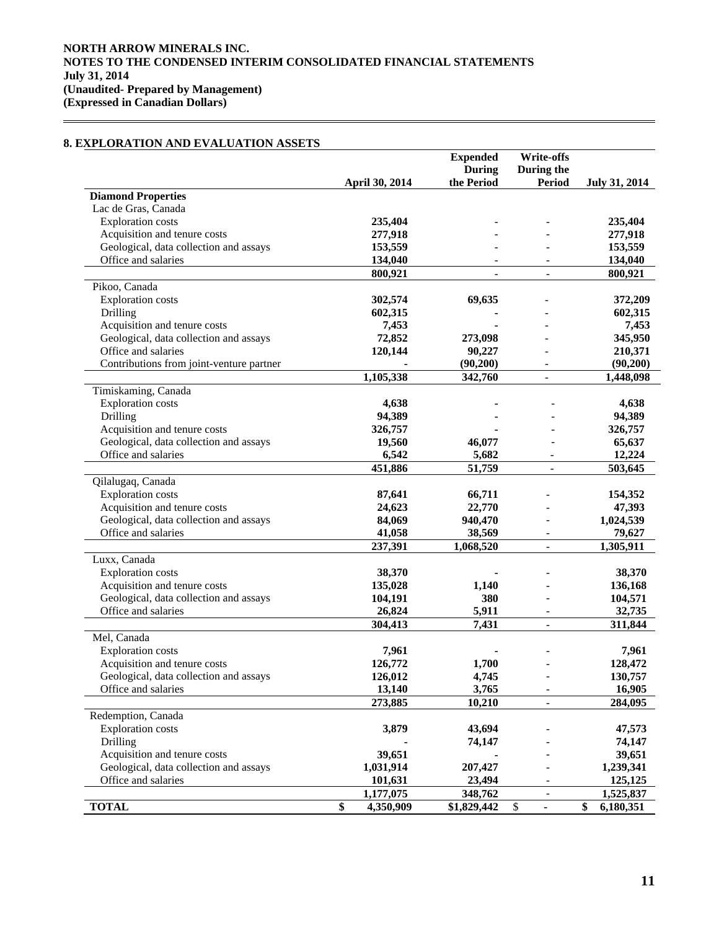# **8. EXPLORATION AND EVALUATION ASSETS**

|                                                                        |                   | <b>Expended</b>          | Write-offs               |                      |
|------------------------------------------------------------------------|-------------------|--------------------------|--------------------------|----------------------|
|                                                                        |                   | <b>During</b>            | During the               |                      |
|                                                                        | April 30, 2014    | the Period               | Period                   | <b>July 31, 2014</b> |
| <b>Diamond Properties</b>                                              |                   |                          |                          |                      |
| Lac de Gras, Canada                                                    |                   |                          |                          |                      |
| <b>Exploration</b> costs                                               | 235,404           |                          |                          | 235,404              |
| Acquisition and tenure costs                                           | 277,918           |                          |                          | 277,918              |
| Geological, data collection and assays                                 | 153,559           |                          |                          | 153,559              |
| Office and salaries                                                    | 134,040           |                          |                          | 134,040              |
|                                                                        | 800,921           | $\overline{\phantom{a}}$ | $\overline{\phantom{a}}$ | 800,921              |
| Pikoo, Canada                                                          |                   |                          |                          |                      |
| <b>Exploration</b> costs                                               | 302,574           | 69,635                   |                          | 372,209              |
| Drilling                                                               | 602,315           |                          |                          | 602,315              |
| Acquisition and tenure costs                                           | 7,453             |                          |                          | 7,453                |
| Geological, data collection and assays                                 | 72,852            | 273,098                  |                          | 345,950              |
| Office and salaries                                                    | 120,144           | 90,227                   |                          | 210,371              |
| Contributions from joint-venture partner                               |                   | (90,200)                 | $\overline{\phantom{a}}$ | (90, 200)            |
|                                                                        | 1,105,338         | 342,760                  | $\overline{\phantom{a}}$ | 1,448,098            |
| Timiskaming, Canada                                                    |                   |                          |                          |                      |
| <b>Exploration</b> costs                                               | 4,638             |                          |                          | 4,638                |
| Drilling                                                               | 94,389            |                          |                          | 94,389               |
| Acquisition and tenure costs                                           | 326,757           |                          |                          | 326,757              |
| Geological, data collection and assays                                 | 19,560            | 46,077                   |                          | 65,637               |
| Office and salaries                                                    | 6,542             | 5,682                    |                          | 12,224               |
|                                                                        | 451,886           | 51,759                   | $\overline{\phantom{a}}$ | 503,645              |
| Qilalugaq, Canada                                                      |                   |                          |                          |                      |
| <b>Exploration</b> costs                                               | 87,641            | 66,711                   |                          | 154,352              |
| Acquisition and tenure costs                                           | 24,623            | 22,770                   |                          | 47,393               |
| Geological, data collection and assays                                 | 84,069            | 940,470                  |                          | 1,024,539            |
| Office and salaries                                                    | 41,058            | 38,569                   | $\overline{\phantom{a}}$ | 79,627               |
|                                                                        | 237,391           | 1,068,520                |                          | 1,305,911            |
| Luxx, Canada                                                           |                   |                          |                          |                      |
| <b>Exploration</b> costs                                               | 38,370            |                          |                          | 38,370               |
|                                                                        |                   |                          |                          |                      |
| Acquisition and tenure costs<br>Geological, data collection and assays | 135,028           | 1,140<br>380             |                          | 136,168<br>104,571   |
| Office and salaries                                                    | 104,191<br>26,824 | 5,911                    |                          | 32,735               |
|                                                                        |                   |                          | $\overline{\phantom{a}}$ |                      |
|                                                                        | 304,413           | 7,431                    | $\overline{\phantom{a}}$ | 311,844              |
| Mel, Canada                                                            |                   |                          |                          |                      |
| <b>Exploration</b> costs                                               | 7,961             |                          |                          | 7,961                |
| Acquisition and tenure costs                                           | 126,772           | 1,700                    |                          | 128,472              |
| Geological, data collection and assays                                 | 126,012           | 4,745                    |                          | 130,757              |
| Office and salaries                                                    | 13,140            | 3,765                    | $\overline{\phantom{a}}$ | 16,905               |
|                                                                        | 273,885           | 10,210                   | $\overline{\phantom{a}}$ | 284,095              |
| Redemption, Canada                                                     |                   |                          |                          |                      |
| <b>Exploration</b> costs                                               | 3,879             | 43,694                   |                          | 47,573               |
| Drilling                                                               |                   | 74,147                   |                          | 74,147               |
| Acquisition and tenure costs                                           | 39,651            |                          |                          | 39,651               |
| Geological, data collection and assays                                 | 1,031,914         | 207,427                  |                          | 1,239,341            |
| Office and salaries                                                    | 101,631           | 23,494                   |                          | 125,125              |
|                                                                        | 1,177,075         | 348,762                  | $\overline{\phantom{a}}$ | 1,525,837            |
| <b>TOTAL</b>                                                           | \$<br>4,350,909   | \$1,829,442              | \$<br>$\blacksquare$     | \$<br>6,180,351      |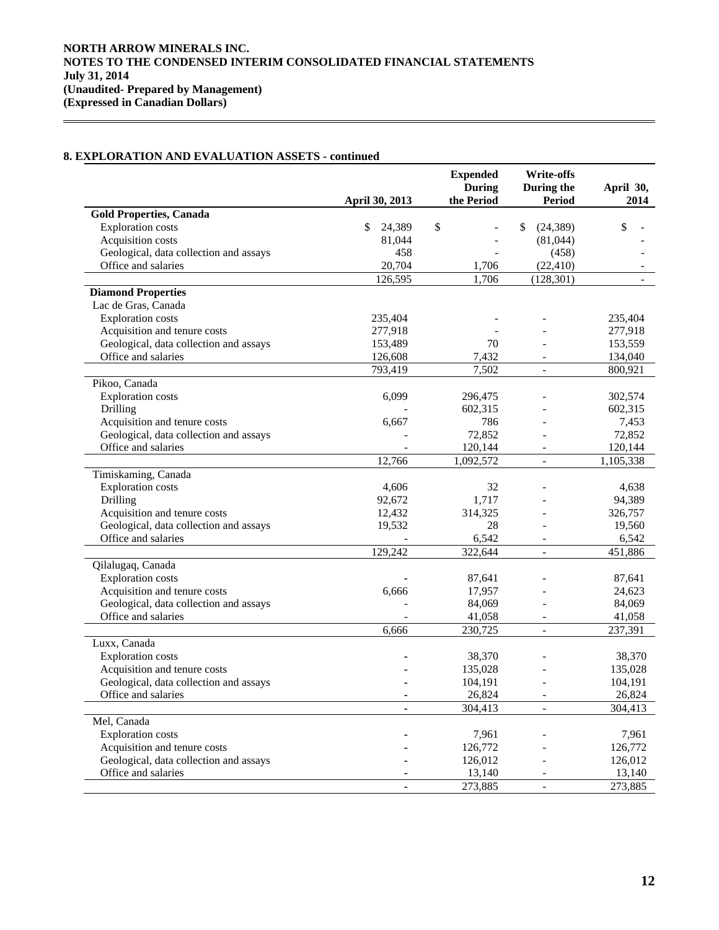# **8. EXPLORATION AND EVALUATION ASSETS - continued**

 $\overline{a}$ 

|                                        | April 30, 2013   | <b>Expended</b><br><b>During</b><br>the Period | <b>Write-offs</b><br>During the<br><b>Period</b> | April 30,<br>2014 |
|----------------------------------------|------------------|------------------------------------------------|--------------------------------------------------|-------------------|
| <b>Gold Properties, Canada</b>         |                  |                                                |                                                  |                   |
| <b>Exploration</b> costs               | \$<br>24,389     | \$                                             | \$<br>(24, 389)                                  | \$                |
| Acquisition costs                      | 81,044           |                                                | (81,044)                                         |                   |
| Geological, data collection and assays | 458              |                                                | (458)                                            |                   |
| Office and salaries                    | 20,704           | 1,706                                          | (22, 410)                                        |                   |
|                                        | 126,595          | 1,706                                          | (128, 301)                                       |                   |
| <b>Diamond Properties</b>              |                  |                                                |                                                  |                   |
| Lac de Gras, Canada                    |                  |                                                |                                                  |                   |
| <b>Exploration</b> costs               | 235,404          |                                                |                                                  | 235,404           |
| Acquisition and tenure costs           | 277,918          |                                                |                                                  | 277,918           |
| Geological, data collection and assays | 153,489          | 70                                             |                                                  | 153,559           |
| Office and salaries                    | 126,608          | 7,432                                          |                                                  | 134,040           |
|                                        | 793,419          | 7,502                                          |                                                  | 800,921           |
| Pikoo, Canada                          |                  |                                                |                                                  |                   |
| <b>Exploration costs</b>               | 6,099            | 296,475                                        |                                                  | 302,574           |
| Drilling                               |                  | 602,315                                        |                                                  | 602,315           |
| Acquisition and tenure costs           | 6,667            | 786                                            |                                                  | 7,453             |
| Geological, data collection and assays |                  | 72,852                                         |                                                  | 72,852            |
| Office and salaries                    |                  | 120,144                                        |                                                  | 120,144           |
|                                        | 12,766           | 1,092,572                                      |                                                  | 1,105,338         |
| Timiskaming, Canada                    |                  |                                                |                                                  |                   |
| <b>Exploration costs</b>               |                  | 32                                             |                                                  |                   |
| Drilling                               | 4,606<br>92,672  |                                                |                                                  | 4,638<br>94,389   |
| Acquisition and tenure costs           |                  | 1,717                                          |                                                  |                   |
|                                        | 12,432<br>19,532 | 314,325<br>28                                  |                                                  | 326,757           |
| Geological, data collection and assays |                  |                                                |                                                  | 19,560            |
| Office and salaries                    |                  | 6,542                                          |                                                  | 6,542             |
|                                        | 129,242          | 322,644                                        |                                                  | 451,886           |
| Qilalugaq, Canada                      |                  |                                                |                                                  |                   |
| <b>Exploration</b> costs               |                  | 87,641                                         |                                                  | 87,641            |
| Acquisition and tenure costs           | 6,666            | 17,957                                         |                                                  | 24,623            |
| Geological, data collection and assays |                  | 84,069                                         |                                                  | 84,069            |
| Office and salaries                    |                  | 41,058                                         |                                                  | 41,058            |
|                                        | 6,666            | 230,725                                        | $\frac{1}{2}$                                    | 237,391           |
| Luxx, Canada                           |                  |                                                |                                                  |                   |
| <b>Exploration</b> costs               |                  | 38,370                                         |                                                  | 38,370            |
| Acquisition and tenure costs           |                  | 135,028                                        |                                                  | 135,028           |
| Geological, data collection and assays |                  | 104,191                                        |                                                  | 104,191           |
| Office and salaries                    |                  | 26,824                                         |                                                  | 26,824            |
|                                        |                  | 304,413                                        |                                                  | 304,413           |
| Mel, Canada                            |                  |                                                |                                                  |                   |
| <b>Exploration</b> costs               |                  | 7,961                                          |                                                  | 7,961             |
| Acquisition and tenure costs           |                  | 126,772                                        |                                                  | 126,772           |
| Geological, data collection and assays |                  | 126,012                                        |                                                  | 126,012           |
| Office and salaries                    |                  | 13,140                                         |                                                  | 13,140            |
|                                        |                  | 273,885                                        |                                                  | 273,885           |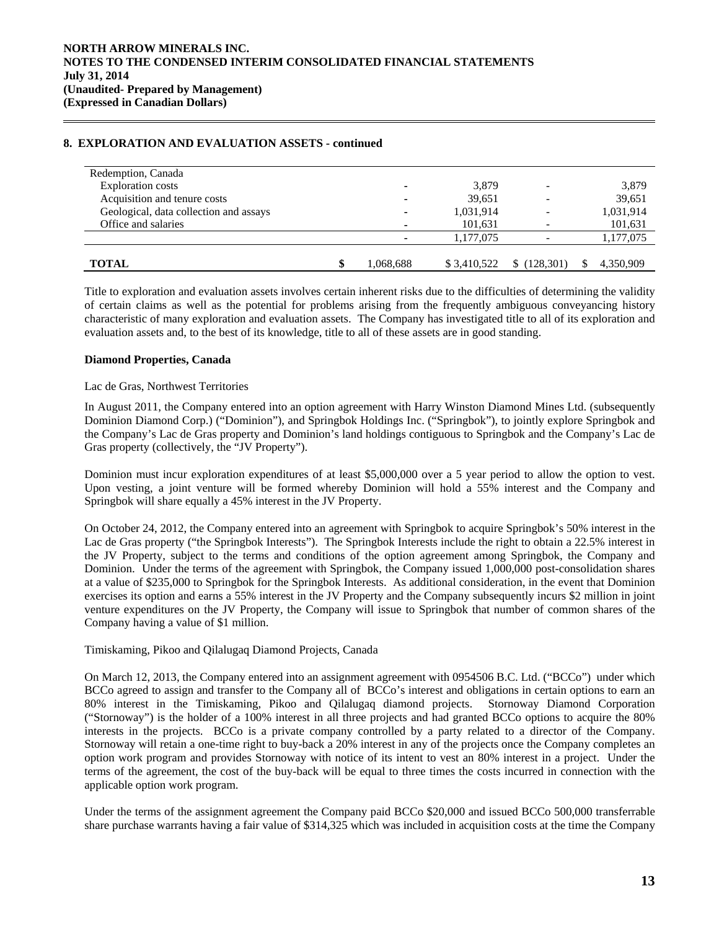## **8. EXPLORATION AND EVALUATION ASSETS - continued**

| Redemption, Canada                     |           |             |           |           |
|----------------------------------------|-----------|-------------|-----------|-----------|
| <b>Exploration</b> costs               |           | 3,879       |           | 3,879     |
| Acquisition and tenure costs           | ۰         | 39,651      |           | 39,651    |
| Geological, data collection and assays | ۰         | 1,031,914   | -         | 1,031,914 |
| Office and salaries                    |           | 101,631     |           | 101,631   |
|                                        |           | 1,177,075   |           | 1,177,075 |
|                                        |           |             |           |           |
| <b>TOTAL</b>                           | 1,068,688 | \$3.410.522 | (128,301) | 4,350,909 |

 Title to exploration and evaluation assets involves certain inherent risks due to the difficulties of determining the validity of certain claims as well as the potential for problems arising from the frequently ambiguous conveyancing history characteristic of many exploration and evaluation assets. The Company has investigated title to all of its exploration and evaluation assets and, to the best of its knowledge, title to all of these assets are in good standing.

### **Diamond Properties, Canada**

 $\overline{a}$ 

### Lac de Gras, Northwest Territories

In August 2011, the Company entered into an option agreement with Harry Winston Diamond Mines Ltd. (subsequently Dominion Diamond Corp.) ("Dominion"), and Springbok Holdings Inc. ("Springbok"), to jointly explore Springbok and the Company's Lac de Gras property and Dominion's land holdings contiguous to Springbok and the Company's Lac de Gras property (collectively, the "JV Property").

Dominion must incur exploration expenditures of at least \$5,000,000 over a 5 year period to allow the option to vest. Upon vesting, a joint venture will be formed whereby Dominion will hold a 55% interest and the Company and Springbok will share equally a 45% interest in the JV Property.

On October 24, 2012, the Company entered into an agreement with Springbok to acquire Springbok's 50% interest in the Lac de Gras property ("the Springbok Interests"). The Springbok Interests include the right to obtain a 22.5% interest in the JV Property, subject to the terms and conditions of the option agreement among Springbok, the Company and Dominion. Under the terms of the agreement with Springbok, the Company issued 1,000,000 post-consolidation shares at a value of \$235,000 to Springbok for the Springbok Interests. As additional consideration, in the event that Dominion exercises its option and earns a 55% interest in the JV Property and the Company subsequently incurs \$2 million in joint venture expenditures on the JV Property, the Company will issue to Springbok that number of common shares of the Company having a value of \$1 million.

# Timiskaming, Pikoo and Qilalugaq Diamond Projects, Canada

On March 12, 2013, the Company entered into an assignment agreement with 0954506 B.C. Ltd. ("BCCo") under which BCCo agreed to assign and transfer to the Company all of BCCo's interest and obligations in certain options to earn an 80% interest in the Timiskaming, Pikoo and Qilalugaq diamond projects. Stornoway Diamond Corporation ("Stornoway") is the holder of a 100% interest in all three projects and had granted BCCo options to acquire the 80% interests in the projects. BCCo is a private company controlled by a party related to a director of the Company. Stornoway will retain a one-time right to buy-back a 20% interest in any of the projects once the Company completes an option work program and provides Stornoway with notice of its intent to vest an 80% interest in a project. Under the terms of the agreement, the cost of the buy-back will be equal to three times the costs incurred in connection with the applicable option work program.

Under the terms of the assignment agreement the Company paid BCCo \$20,000 and issued BCCo 500,000 transferrable share purchase warrants having a fair value of \$314,325 which was included in acquisition costs at the time the Company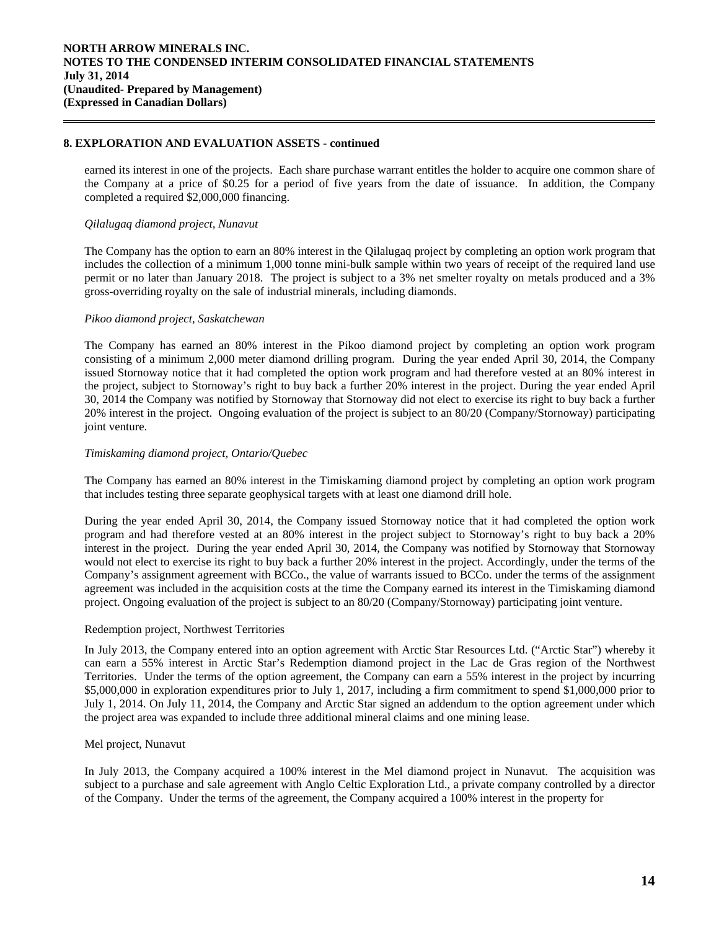### **8. EXPLORATION AND EVALUATION ASSETS - continued**

earned its interest in one of the projects. Each share purchase warrant entitles the holder to acquire one common share of the Company at a price of \$0.25 for a period of five years from the date of issuance. In addition, the Company completed a required \$2,000,000 financing.

### *Qilalugaq diamond project, Nunavut*

 $\overline{a}$ 

The Company has the option to earn an 80% interest in the Qilalugaq project by completing an option work program that includes the collection of a minimum 1,000 tonne mini-bulk sample within two years of receipt of the required land use permit or no later than January 2018. The project is subject to a 3% net smelter royalty on metals produced and a 3% gross-overriding royalty on the sale of industrial minerals, including diamonds.

### *Pikoo diamond project, Saskatchewan*

The Company has earned an 80% interest in the Pikoo diamond project by completing an option work program consisting of a minimum 2,000 meter diamond drilling program. During the year ended April 30, 2014, the Company issued Stornoway notice that it had completed the option work program and had therefore vested at an 80% interest in the project, subject to Stornoway's right to buy back a further 20% interest in the project. During the year ended April 30, 2014 the Company was notified by Stornoway that Stornoway did not elect to exercise its right to buy back a further 20% interest in the project. Ongoing evaluation of the project is subject to an 80/20 (Company/Stornoway) participating joint venture.

### *Timiskaming diamond project, Ontario/Quebec*

The Company has earned an 80% interest in the Timiskaming diamond project by completing an option work program that includes testing three separate geophysical targets with at least one diamond drill hole.

During the year ended April 30, 2014, the Company issued Stornoway notice that it had completed the option work program and had therefore vested at an 80% interest in the project subject to Stornoway's right to buy back a 20% interest in the project. During the year ended April 30, 2014, the Company was notified by Stornoway that Stornoway would not elect to exercise its right to buy back a further 20% interest in the project. Accordingly, under the terms of the Company's assignment agreement with BCCo., the value of warrants issued to BCCo. under the terms of the assignment agreement was included in the acquisition costs at the time the Company earned its interest in the Timiskaming diamond project. Ongoing evaluation of the project is subject to an 80/20 (Company/Stornoway) participating joint venture.

### Redemption project, Northwest Territories

In July 2013, the Company entered into an option agreement with Arctic Star Resources Ltd. ("Arctic Star") whereby it can earn a 55% interest in Arctic Star's Redemption diamond project in the Lac de Gras region of the Northwest Territories. Under the terms of the option agreement, the Company can earn a 55% interest in the project by incurring \$5,000,000 in exploration expenditures prior to July 1, 2017, including a firm commitment to spend \$1,000,000 prior to July 1, 2014. On July 11, 2014, the Company and Arctic Star signed an addendum to the option agreement under which the project area was expanded to include three additional mineral claims and one mining lease.

### Mel project, Nunavut

In July 2013, the Company acquired a 100% interest in the Mel diamond project in Nunavut. The acquisition was subject to a purchase and sale agreement with Anglo Celtic Exploration Ltd., a private company controlled by a director of the Company. Under the terms of the agreement, the Company acquired a 100% interest in the property for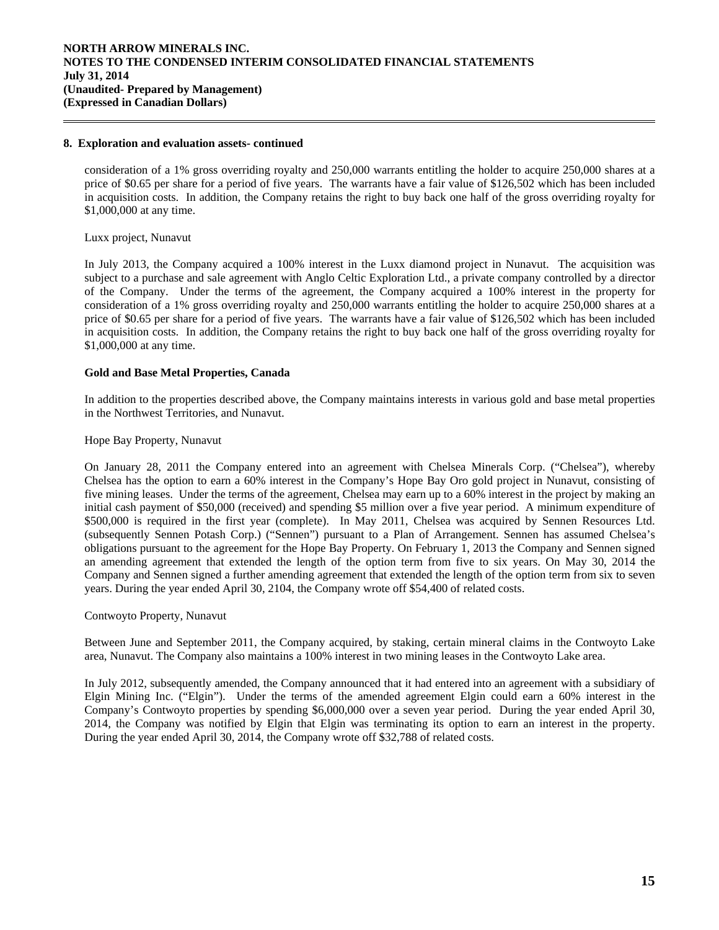### **8. Exploration and evaluation assets- continued**

consideration of a 1% gross overriding royalty and 250,000 warrants entitling the holder to acquire 250,000 shares at a price of \$0.65 per share for a period of five years. The warrants have a fair value of \$126,502 which has been included in acquisition costs. In addition, the Company retains the right to buy back one half of the gross overriding royalty for \$1,000,000 at any time.

#### Luxx project, Nunavut

 $\overline{a}$ 

In July 2013, the Company acquired a 100% interest in the Luxx diamond project in Nunavut. The acquisition was subject to a purchase and sale agreement with Anglo Celtic Exploration Ltd., a private company controlled by a director of the Company. Under the terms of the agreement, the Company acquired a 100% interest in the property for consideration of a 1% gross overriding royalty and 250,000 warrants entitling the holder to acquire 250,000 shares at a price of \$0.65 per share for a period of five years. The warrants have a fair value of \$126,502 which has been included in acquisition costs. In addition, the Company retains the right to buy back one half of the gross overriding royalty for \$1,000,000 at any time.

### **Gold and Base Metal Properties, Canada**

 In addition to the properties described above, the Company maintains interests in various gold and base metal properties in the Northwest Territories, and Nunavut.

### Hope Bay Property, Nunavut

On January 28, 2011 the Company entered into an agreement with Chelsea Minerals Corp. ("Chelsea"), whereby Chelsea has the option to earn a 60% interest in the Company's Hope Bay Oro gold project in Nunavut, consisting of five mining leases. Under the terms of the agreement, Chelsea may earn up to a 60% interest in the project by making an initial cash payment of \$50,000 (received) and spending \$5 million over a five year period. A minimum expenditure of \$500,000 is required in the first year (complete). In May 2011, Chelsea was acquired by Sennen Resources Ltd. (subsequently Sennen Potash Corp.) ("Sennen") pursuant to a Plan of Arrangement. Sennen has assumed Chelsea's obligations pursuant to the agreement for the Hope Bay Property. On February 1, 2013 the Company and Sennen signed an amending agreement that extended the length of the option term from five to six years. On May 30, 2014 the Company and Sennen signed a further amending agreement that extended the length of the option term from six to seven years. During the year ended April 30, 2104, the Company wrote off \$54,400 of related costs.

### Contwoyto Property, Nunavut

Between June and September 2011, the Company acquired, by staking, certain mineral claims in the Contwoyto Lake area, Nunavut. The Company also maintains a 100% interest in two mining leases in the Contwoyto Lake area.

In July 2012, subsequently amended, the Company announced that it had entered into an agreement with a subsidiary of Elgin Mining Inc. ("Elgin"). Under the terms of the amended agreement Elgin could earn a 60% interest in the Company's Contwoyto properties by spending \$6,000,000 over a seven year period. During the year ended April 30, 2014, the Company was notified by Elgin that Elgin was terminating its option to earn an interest in the property. During the year ended April 30, 2014, the Company wrote off \$32,788 of related costs.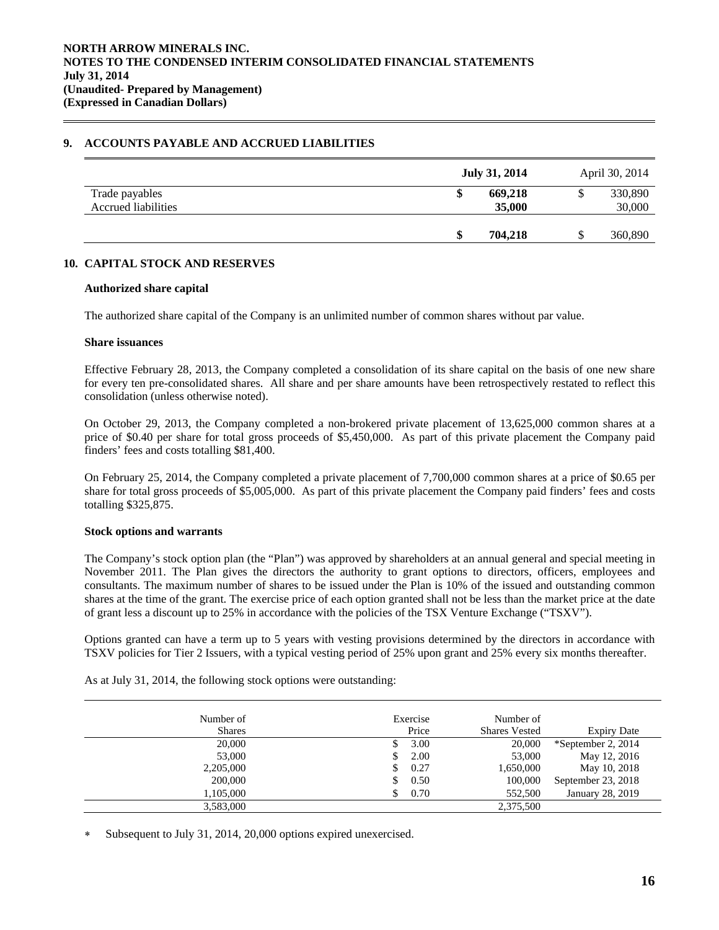### **9. ACCOUNTS PAYABLE AND ACCRUED LIABILITIES**

|                                              | July 31, 2014          | April 30, 2014    |
|----------------------------------------------|------------------------|-------------------|
| Trade payables<br><b>Accrued liabilities</b> | 669,218<br>D<br>35,000 | 330,890<br>30,000 |
|                                              | 704.218<br>S           | 360,890           |

# **10. CAPITAL STOCK AND RESERVES**

### **Authorized share capital**

The authorized share capital of the Company is an unlimited number of common shares without par value.

#### **Share issuances**

 $\overline{a}$ 

Effective February 28, 2013, the Company completed a consolidation of its share capital on the basis of one new share for every ten pre-consolidated shares. All share and per share amounts have been retrospectively restated to reflect this consolidation (unless otherwise noted).

On October 29, 2013, the Company completed a non-brokered private placement of 13,625,000 common shares at a price of \$0.40 per share for total gross proceeds of \$5,450,000. As part of this private placement the Company paid finders' fees and costs totalling \$81,400.

On February 25, 2014, the Company completed a private placement of 7,700,000 common shares at a price of \$0.65 per share for total gross proceeds of \$5,005,000. As part of this private placement the Company paid finders' fees and costs totalling \$325,875.

### **Stock options and warrants**

 The Company's stock option plan (the "Plan") was approved by shareholders at an annual general and special meeting in November 2011. The Plan gives the directors the authority to grant options to directors, officers, employees and consultants. The maximum number of shares to be issued under the Plan is 10% of the issued and outstanding common shares at the time of the grant. The exercise price of each option granted shall not be less than the market price at the date of grant less a discount up to 25% in accordance with the policies of the TSX Venture Exchange ("TSXV").

Options granted can have a term up to 5 years with vesting provisions determined by the directors in accordance with TSXV policies for Tier 2 Issuers, with a typical vesting period of 25% upon grant and 25% every six months thereafter.

| Number of     |   | Exercise | Number of            |                    |
|---------------|---|----------|----------------------|--------------------|
| <b>Shares</b> |   | Price    | <b>Shares Vested</b> | <b>Expiry Date</b> |
| 20,000        |   | 3.00     | 20,000               | *September 2, 2014 |
| 53,000        | S | 2.00     | 53,000               | May 12, 2016       |
| 2,205,000     |   | 0.27     | 1,650,000            | May 10, 2018       |
| 200,000       | S | 0.50     | 100,000              | September 23, 2018 |
| 1.105.000     |   | 0.70     | 552,500              | January 28, 2019   |
| 3,583,000     |   |          | 2,375,500            |                    |
|               |   |          |                      |                    |

As at July 31, 2014, the following stock options were outstanding:

Subsequent to July 31, 2014, 20,000 options expired unexercised.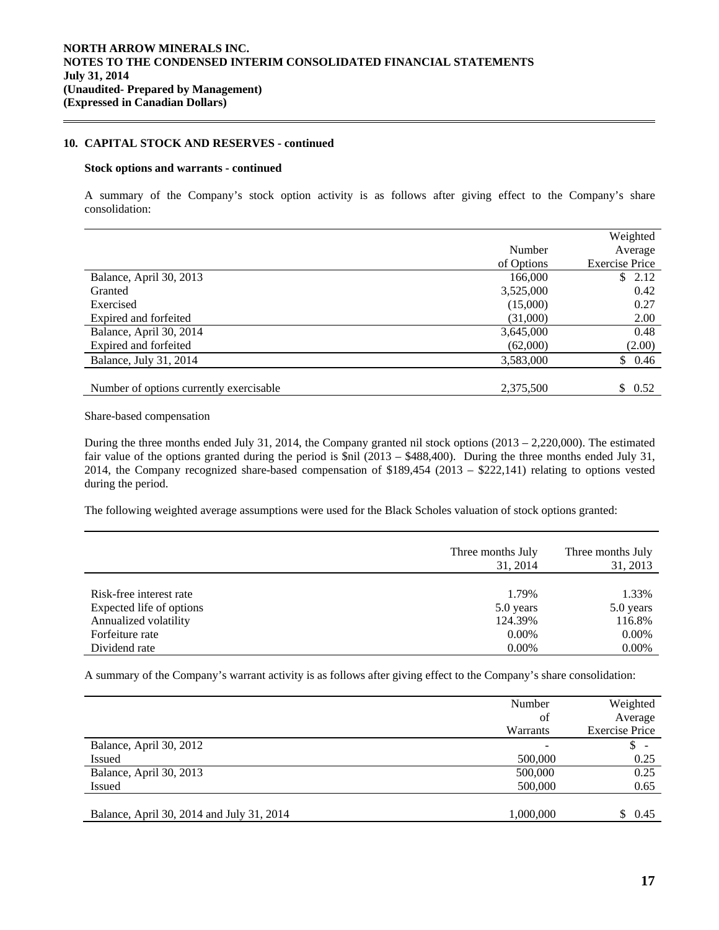### **10. CAPITAL STOCK AND RESERVES - continued**

#### **Stock options and warrants - continued**

 $\overline{a}$ 

 A summary of the Company's stock option activity is as follows after giving effect to the Company's share consolidation:

|                                         |            | Weighted              |
|-----------------------------------------|------------|-----------------------|
|                                         | Number     | Average               |
|                                         | of Options | <b>Exercise Price</b> |
| Balance, April 30, 2013                 | 166,000    | \$2.12                |
| Granted                                 | 3,525,000  | 0.42                  |
| Exercised                               | (15,000)   | 0.27                  |
| Expired and forfeited                   | (31,000)   | 2.00                  |
| Balance, April 30, 2014                 | 3,645,000  | 0.48                  |
| Expired and forfeited                   | (62,000)   | (2.00)                |
| Balance, July 31, 2014                  | 3,583,000  | \$0.46                |
|                                         |            |                       |
| Number of options currently exercisable | 2,375,500  | \$0.52                |

Share-based compensation

During the three months ended July 31, 2014, the Company granted nil stock options  $(2013 - 2,220,000)$ . The estimated fair value of the options granted during the period is \$nil (2013 – \$488,400). During the three months ended July 31, 2014, the Company recognized share-based compensation of \$189,454 (2013 – \$222,141) relating to options vested during the period.

The following weighted average assumptions were used for the Black Scholes valuation of stock options granted:

|                          | Three months July<br>31, 2014 | Three months July<br>31, 2013 |
|--------------------------|-------------------------------|-------------------------------|
| Risk-free interest rate  | 1.79%                         | 1.33%                         |
| Expected life of options | 5.0 years                     | 5.0 years                     |
| Annualized volatility    | 124.39%                       | 116.8%                        |
| Forfeiture rate          | $0.00\%$                      | $0.00\%$                      |
| Dividend rate            | $0.00\%$                      | 0.00%                         |

A summary of the Company's warrant activity is as follows after giving effect to the Company's share consolidation:

|                                           | Number<br>of | Weighted<br>Average   |
|-------------------------------------------|--------------|-----------------------|
|                                           | Warrants     | <b>Exercise Price</b> |
| Balance, April 30, 2012                   |              | \$                    |
| <b>Issued</b>                             | 500,000      | 0.25                  |
| Balance, April 30, 2013                   | 500,000      | 0.25                  |
| <b>Issued</b>                             | 500,000      | 0.65                  |
|                                           |              |                       |
| Balance, April 30, 2014 and July 31, 2014 | 1,000,000    | \$ 0.45               |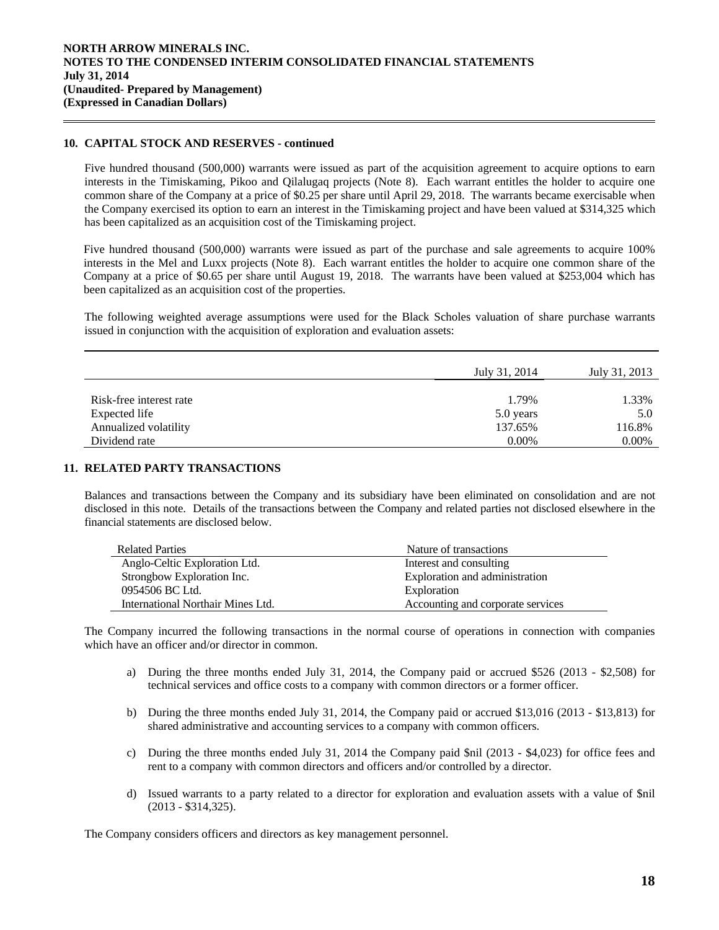### **10. CAPITAL STOCK AND RESERVES - continued**

 $\overline{a}$ 

Five hundred thousand (500,000) warrants were issued as part of the acquisition agreement to acquire options to earn interests in the Timiskaming, Pikoo and Qilalugaq projects (Note 8). Each warrant entitles the holder to acquire one common share of the Company at a price of \$0.25 per share until April 29, 2018. The warrants became exercisable when the Company exercised its option to earn an interest in the Timiskaming project and have been valued at \$314,325 which has been capitalized as an acquisition cost of the Timiskaming project.

Five hundred thousand (500,000) warrants were issued as part of the purchase and sale agreements to acquire 100% interests in the Mel and Luxx projects (Note 8). Each warrant entitles the holder to acquire one common share of the Company at a price of \$0.65 per share until August 19, 2018. The warrants have been valued at \$253,004 which has been capitalized as an acquisition cost of the properties.

The following weighted average assumptions were used for the Black Scholes valuation of share purchase warrants issued in conjunction with the acquisition of exploration and evaluation assets:

|                         | July 31, 2014 | July 31, 2013 |
|-------------------------|---------------|---------------|
| Risk-free interest rate | 1.79%         | 1.33%         |
| Expected life           | 5.0 years     | 5.0           |
| Annualized volatility   | 137.65%       | 116.8%        |
| Dividend rate           | $0.00\%$      | 0.00%         |

# **11. RELATED PARTY TRANSACTIONS**

Balances and transactions between the Company and its subsidiary have been eliminated on consolidation and are not disclosed in this note. Details of the transactions between the Company and related parties not disclosed elsewhere in the financial statements are disclosed below.

| <b>Related Parties</b>            | Nature of transactions            |
|-----------------------------------|-----------------------------------|
| Anglo-Celtic Exploration Ltd.     | Interest and consulting           |
| Strongbow Exploration Inc.        | Exploration and administration    |
| 0954506 BC Ltd.                   | Exploration                       |
| International Northair Mines Ltd. | Accounting and corporate services |

 The Company incurred the following transactions in the normal course of operations in connection with companies which have an officer and/or director in common.

- a) During the three months ended July 31, 2014, the Company paid or accrued \$526 (2013 \$2,508) for technical services and office costs to a company with common directors or a former officer.
- b) During the three months ended July 31, 2014, the Company paid or accrued \$13,016 (2013 \$13,813) for shared administrative and accounting services to a company with common officers.
- c) During the three months ended July 31, 2014 the Company paid \$nil (2013 \$4,023) for office fees and rent to a company with common directors and officers and/or controlled by a director.
- d) Issued warrants to a party related to a director for exploration and evaluation assets with a value of \$nil (2013 - \$314,325).

The Company considers officers and directors as key management personnel.